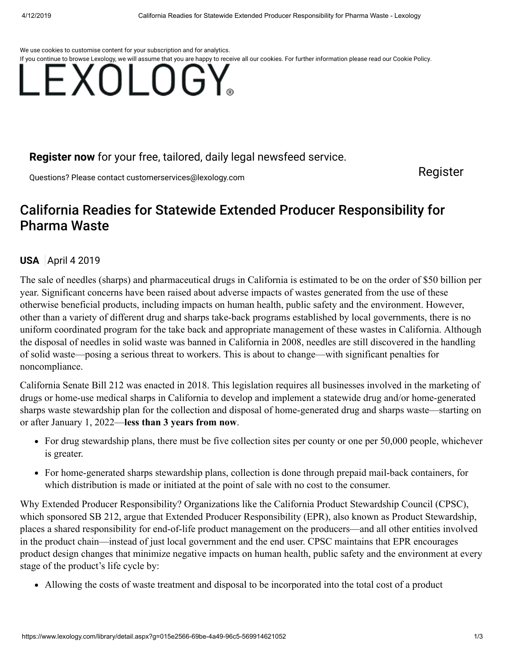We use cookies to customise content for your subscription and for analytics.



## **[Register now](https://www.lexology.com/account/register.aspx?utm_campaign=register%20now%20to%20read%20this%20article&utm_source=www.lexology.com&utm_medium=article%20precis%20banner&returnurl=%2flibrary%2fdetail.aspx%3fg%3d015e2566-69be-4a49-96c5-569914621052)** for your free, tailored, daily legal newsfeed service.

Questions? Please contact [customerservices@lexology.com](mailto:customerservices@lexology.com) example and a series of the [Register](https://www.lexology.com/account/register.aspx?utm_campaign=register%20now%20to%20read%20this%20article&utm_source=www.lexology.com&utm_medium=article%20precis%20banner&returnurl=%2flibrary%2fdetail.aspx%3fg%3d015e2566-69be-4a49-96c5-569914621052)

## California Readies for Statewide Extended Producer Responsibility for Pharma Waste

## **[USA](https://www.lexology.com/hub/usa)** April 4 2019

The sale of needles (sharps) and pharmaceutical drugs in California is estimated to be on the order of \$50 billion per year. Significant concerns have been raised about adverse impacts of wastes generated from the use of these otherwise beneficial products, including impacts on human health, public safety and the environment. However, other than a variety of different drug and sharps take-back programs established by local governments, there is no uniform coordinated program for the take back and appropriate management of these wastes in California. Although the disposal of needles in solid waste was banned in California in 2008, needles are still discovered in the handling of solid waste—posing a serious threat to workers. This is about to change—with significant penalties for noncompliance.

California Senate Bill 212 was enacted in 2018. This legislation requires all businesses involved in the marketing of drugs or home-use medical sharps in California to develop and implement a statewide drug and/or home-generated sharps waste stewardship plan for the collection and disposal of home-generated drug and sharps waste—starting on or after January 1, 2022—**less than 3 years from now**.

- For drug stewardship plans, there must be five collection sites per county or one per 50,000 people, whichever is greater.
- For home-generated sharps stewardship plans, collection is done through prepaid mail-back containers, for which distribution is made or initiated at the point of sale with no cost to the consumer.

Why Extended Producer Responsibility? Organizations like the California Product Stewardship Council (CPSC), which sponsored SB 212, argue that Extended Producer Responsibility (EPR), also known as Product Stewardship, places a shared responsibility for end-of-life product management on the producers—and all other entities involved in the product chain—instead of just local government and the end user. CPSC maintains that EPR encourages product design changes that minimize negative impacts on human health, public safety and the environment at every stage of the product's life cycle by:

Allowing the costs of waste treatment and disposal to be incorporated into the total cost of a product